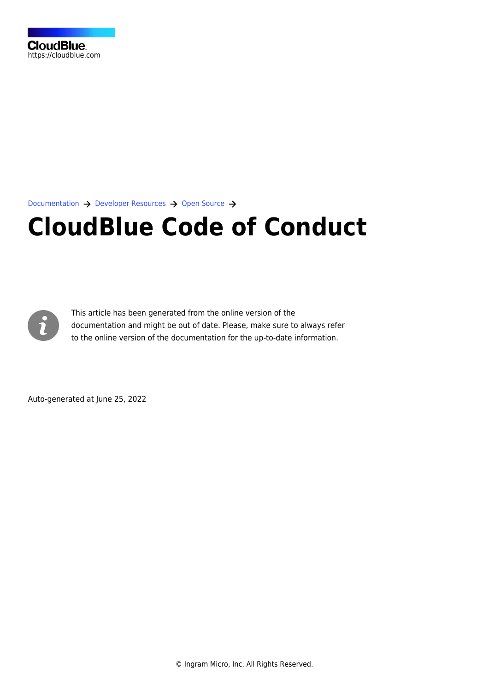[Documentation](https://connect.cloudblue.com/documentation)  $\rightarrow$  [Developer Resources](https://connect.cloudblue.com/community/developers/)  $\rightarrow$  [Open Source](https://connect.cloudblue.com/?post_type=docs&p=27787)  $\rightarrow$ 

# **[CloudBlue Code of Conduct](https://connect.cloudblue.com/community/developers/open-source/code-of-conduct/)**



This article has been generated from the online version of the documentation and might be out of date. Please, make sure to always refer to the online version of the documentation for the up-to-date information.

Auto-generated at June 25, 2022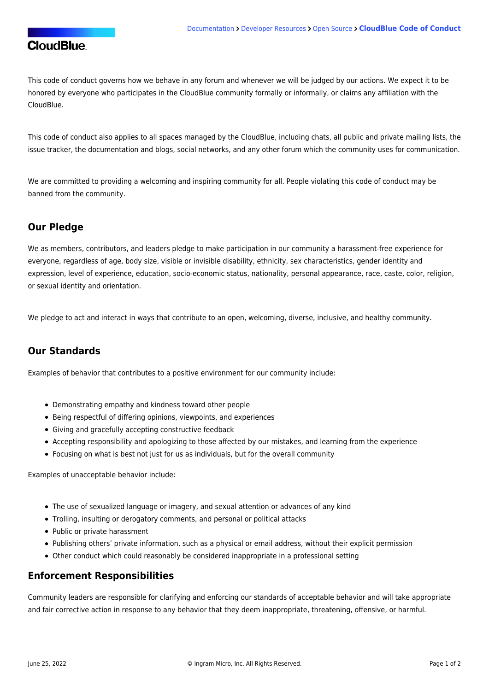# **CloudBlue**

This code of conduct governs how we behave in any forum and whenever we will be judged by our actions. We expect it to be honored by everyone who participates in the CloudBlue community formally or informally, or claims any affiliation with the CloudBlue.

This code of conduct also applies to all spaces managed by the CloudBlue, including chats, all public and private mailing lists, the issue tracker, the documentation and blogs, social networks, and any other forum which the community uses for communication.

We are committed to providing a welcoming and inspiring community for all. People violating this code of conduct may be banned from the community.

#### **Our Pledge**

We as members, contributors, and leaders pledge to make participation in our community a harassment-free experience for everyone, regardless of age, body size, visible or invisible disability, ethnicity, sex characteristics, gender identity and expression, level of experience, education, socio-economic status, nationality, personal appearance, race, caste, color, religion, or sexual identity and orientation.

We pledge to act and interact in ways that contribute to an open, welcoming, diverse, inclusive, and healthy community.

## **Our Standards**

Examples of behavior that contributes to a positive environment for our community include:

- Demonstrating empathy and kindness toward other people
- Being respectful of differing opinions, viewpoints, and experiences
- Giving and gracefully accepting constructive feedback
- Accepting responsibility and apologizing to those affected by our mistakes, and learning from the experience
- Focusing on what is best not just for us as individuals, but for the overall community

Examples of unacceptable behavior include:

- The use of sexualized language or imagery, and sexual attention or advances of any kind
- Trolling, insulting or derogatory comments, and personal or political attacks
- Public or private harassment
- Publishing others' private information, such as a physical or email address, without their explicit permission
- Other conduct which could reasonably be considered inappropriate in a professional setting

#### **Enforcement Responsibilities**

Community leaders are responsible for clarifying and enforcing our standards of acceptable behavior and will take appropriate and fair corrective action in response to any behavior that they deem inappropriate, threatening, offensive, or harmful.